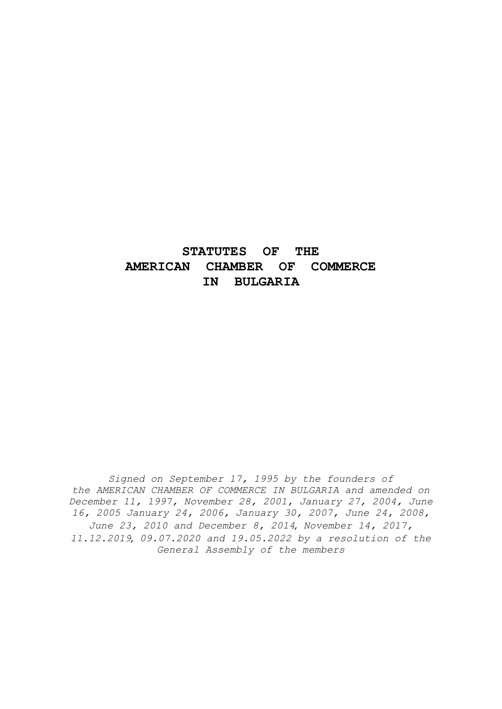# **STATUTES OF THE AMERICAN CHAMBER OF COMMERCE IN BULGARIA**

*Signed on September 17, 1995 by the founders of the AMERICAN CHAMBER OF COMMERCE IN BULGARIA and amended on December 11, 1997, November 28, 2001, January 27, 2004, June 16, 2005 January 24, 2006, January 30, 2007, June 24, 2008, June 23, 2010 and December 8, 2014, November 14, 2017, 11.12.2019, 09.07.2020 and 19.05.2022 by a resolution of the General Assembly of the members*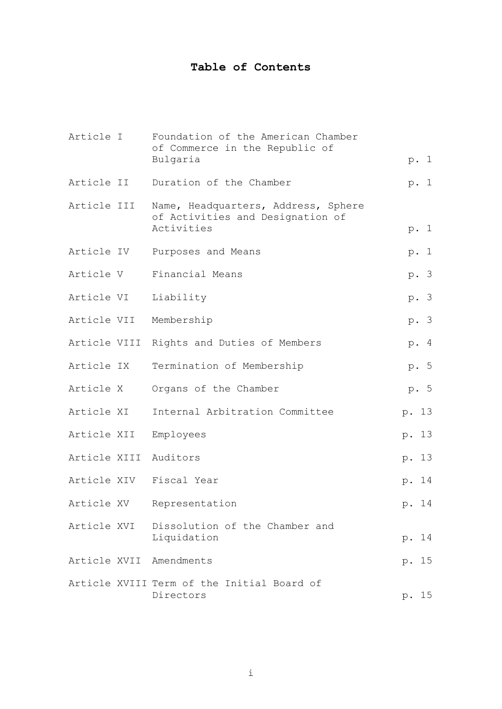# **Table of Contents**

| Article I   | Foundation of the American Chamber<br>of Commerce in the Republic of                  |       |      |
|-------------|---------------------------------------------------------------------------------------|-------|------|
|             | Bulgaria                                                                              |       | p. 1 |
| Article II  | Duration of the Chamber                                                               |       | p. 1 |
| Article III | Name, Headquarters, Address, Sphere<br>of Activities and Designation of<br>Activities |       | p. 1 |
| Article IV  | Purposes and Means                                                                    |       | p. 1 |
| Article V   | Financial Means                                                                       |       | p. 3 |
| Article VI  | Liability                                                                             |       | p. 3 |
|             | Article VII Membership                                                                |       | p. 3 |
|             | Article VIII Rights and Duties of Members                                             |       | p. 4 |
| Article IX  | Termination of Membership                                                             |       | p. 5 |
| Article X   | Organs of the Chamber                                                                 |       | p. 5 |
| Article XI  | Internal Arbitration Committee                                                        | p. 13 |      |
| Article XII | Employees                                                                             | p. 13 |      |
|             | Article XIII Auditors                                                                 | p. 13 |      |
|             | Article XIV Fiscal Year                                                               | p. 14 |      |
| Article XV  | Representation                                                                        | p. 14 |      |
|             | Article XVI Dissolution of the Chamber and<br>Liquidation                             | p. 14 |      |
|             | Article XVII Amendments                                                               | p. 15 |      |
|             | Article XVIII Term of the Initial Board of<br>Directors                               | p. 15 |      |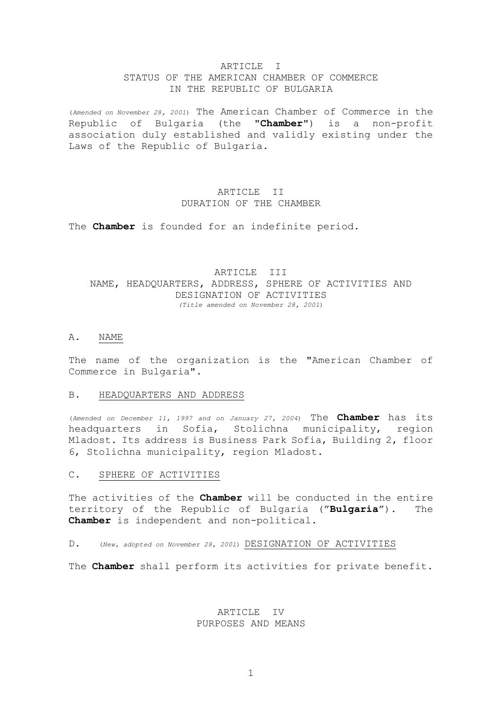### ARTICLE I STATUS OF THE AMERICAN CHAMBER OF COMMERCE IN THE REPUBLIC OF BULGARIA

(*Amended on November 28, 2001*) The American Chamber of Commerce in the Republic of Bulgaria (the "**Chamber**") is a non-profit association duly established and validly existing under the Laws of the Republic of Bulgaria.

# ARTICLE II DURATION OF THE CHAMBER

The **Chamber** is founded for an indefinite period.

### ARTICLE III NAME, HEADQUARTERS, ADDRESS, SPHERE OF ACTIVITIES AND DESIGNATION OF ACTIVITIES *(Title amended on November 28, 2001*)

### A. NAME

The name of the organization is the "American Chamber of Commerce in Bulgaria".

#### B. HEADQUARTERS AND ADDRESS

(*Amended on December 11, 1997 and on January 27, 2004*) The **Chamber** has its headquarters in Sofia, Stolichna municipality, region Mladost. Its address is Business Park Sofia, Building 2, floor 6, Stolichna municipality, region Mladost.

### C. SPHERE OF ACTIVITIES

The activities of the **Chamber** will be conducted in the entire territory of the Republic of Bulgaria ("**Bulgaria**"). The **Chamber** is independent and non-political.

#### D. (*New, adopted on November 28, 2001*) DESIGNATION OF ACTIVITIES

The **Chamber** shall perform its activities for private benefit.

### ARTICLE IV PURPOSES AND MEANS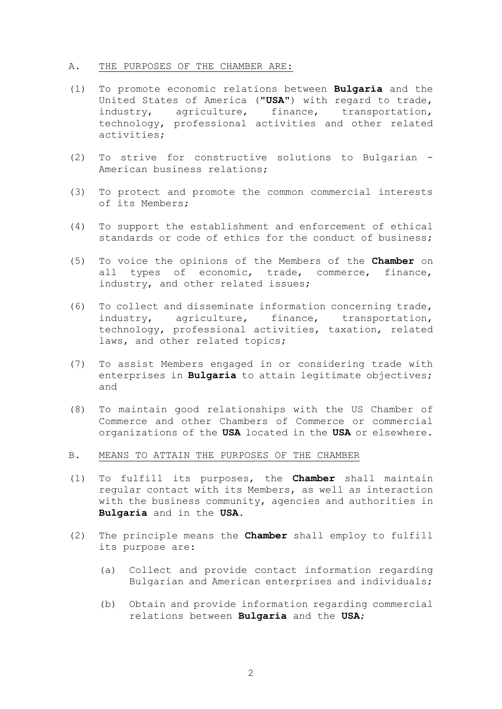### A. THE PURPOSES OF THE CHAMBER ARE:

- (1) To promote economic relations between **Bulgaria** and the United States of America ("**USA**") with regard to trade, industry, agriculture, finance, transportation, technology, professional activities and other related activities;
- (2) To strive for constructive solutions to Bulgarian American business relations;
- (3) To protect and promote the common commercial interests of its Members;
- (4) To support the establishment and enforcement of ethical standards or code of ethics for the conduct of business;
- (5) To voice the opinions of the Members of the **Chamber** on all types of economic, trade, commerce, finance, industry, and other related issues;
- (6) To collect and disseminate information concerning trade, industry, agriculture, finance, transportation, technology, professional activities, taxation, related laws, and other related topics;
- (7) To assist Members engaged in or considering trade with enterprises in **Bulgaria** to attain legitimate objectives; and
- (8) To maintain good relationships with the US Chamber of Commerce and other Chambers of Commerce or commercial organizations of the **USA** located in the **USA** or elsewhere.
- B. MEANS TO ATTAIN THE PURPOSES OF THE CHAMBER
- (1) To fulfill its purposes, the **Chamber** shall maintain regular contact with its Members, as well as interaction with the business community, agencies and authorities in **Bulgaria** and in the **USA**.
- (2) The principle means the **Chamber** shall employ to fulfill its purpose are:
	- (a) Collect and provide contact information regarding Bulgarian and American enterprises and individuals;
	- (b) Obtain and provide information regarding commercial relations between **Bulgaria** and the **USA**;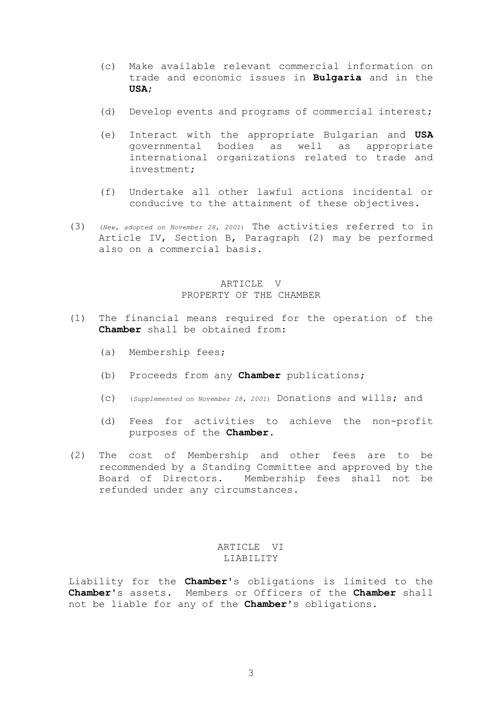- (c) Make available relevant commercial information on trade and economic issues in **Bulgaria** and in the **USA**;
- (d) Develop events and programs of commercial interest;
- (e) Interact with the appropriate Bulgarian and **USA** governmental bodies as well as appropriate international organizations related to trade and investment;
- (f) Undertake all other lawful actions incidental or conducive to the attainment of these objectives.
- (3) (*New, adopted on November 28, 2001*) The activities referred to in Article IV, Section B, Paragraph (2) may be performed also on a commercial basis.

### ARTICLE V PROPERTY OF THE CHAMBER

- (1) The financial means required for the operation of the **Chamber** shall be obtained from:
	- (a) Membership fees;
	- (b) Proceeds from any **Chamber** publications;
	- (c) (*Supplemented on November 28, 2001*) Donations and wills; and
	- (d) Fees for activities to achieve the non-profit purposes of the **Chamber**.
- (2) The cost of Membership and other fees are to be recommended by a Standing Committee and approved by the Board of Directors. Membership fees shall not be refunded under any circumstances.

### ARTICLE VI LIABILITY

Liability for the **Chamber**'s obligations is limited to the **Chamber**'s assets. Members or Officers of the **Chamber** shall not be liable for any of the **Chamber**'s obligations.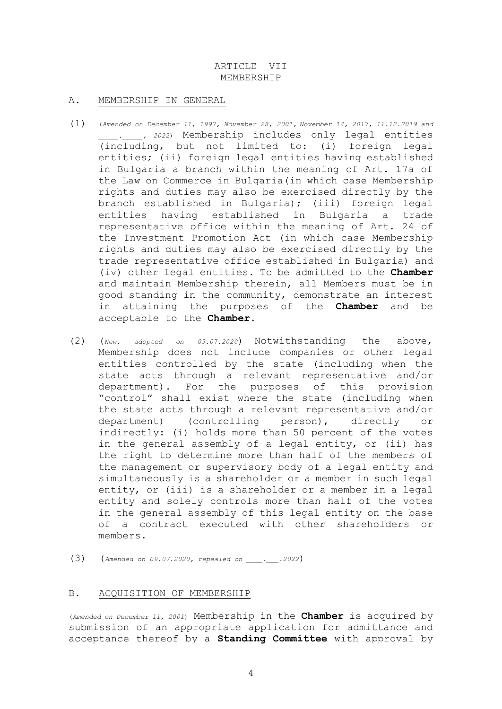### ARTICLE VII MEMBERSHIP

### A. MEMBERSHIP IN GENERAL

- (1) (*Amended on December 11, 1997, November 28, 2001, November 14, 2017, 11.12.2019 and \_\_\_\_\_.\_\_\_\_\_, 2022*) Membership includes only legal entities (including, but not limited to: (i) foreign legal entities; (ii) foreign legal entities having established in Bulgaria a branch within the meaning of Art. 17a of the Law on Commerce in Bulgaria(in which case Membership rights and duties may also be exercised directly by the branch established in Bulgaria); (iii) foreign legal entities having established in Bulgaria a trade representative office within the meaning of Art. 24 of the Investment Promotion Act (in which case Membership rights and duties may also be exercised directly by the trade representative office established in Bulgaria) and (iv) other legal entities. To be admitted to the **Chamber** and maintain Membership therein, all Members must be in good standing in the community, demonstrate an interest in attaining the purposes of the **Chamber** and be acceptable to the **Chamber**.
- (2) (*New, adopted on 09.07.2020*) Notwithstanding the above, Membership does not include companies or other legal entities controlled by the state (including when the state acts through a relevant representative and/or department). For the purposes of this provision "control" shall exist where the state (including when the state acts through a relevant representative and/or department) (controlling person), directly or indirectly: (i) holds more than 50 percent of the votes in the general assembly of a legal entity, or (ii) has the right to determine more than half of the members of the management or supervisory body of a legal entity and simultaneously is a shareholder or a member in such legal entity, or (iii) is a shareholder or a member in a legal entity and solely controls more than half of the votes in the general assembly of this legal entity on the base of a contract executed with other shareholders or members.
- (3) (*Amended on 09.07.2020, repealed on \_\_\_\_.\_\_\_.2022*)

### B. ACQUISITION OF MEMBERSHIP

(*Amended on December 11, 2001*) Membership in the **Chamber** is acquired by submission of an appropriate application for admittance and acceptance thereof by a **Standing Committee** with approval by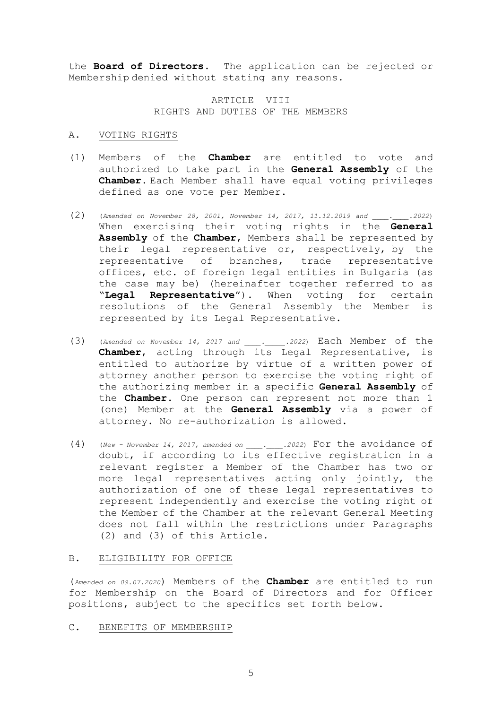the **Board of Directors**. The application can be rejected or Membership denied without stating any reasons.

### ARTICLE VIII RIGHTS AND DUTIES OF THE MEMBERS

#### A. VOTING RIGHTS

- (1) Members of the **Chamber** are entitled to vote and authorized to take part in the **General Assembly** of the **Chamber**. Each Member shall have equal voting privileges defined as one vote per Member.
- (2) (*Amended on November 28, 2001, November 14, 2017, 11.12.2019 and \_\_\_\_.\_\_\_\_.2022*) When exercising their voting rights in the **General Assembly** of the **Chamber**, Members shall be represented by their legal representative or, respectively, by the representative of branches, trade representative offices, etc. of foreign legal entities in Bulgaria (as the case may be) (hereinafter together referred to as "**Legal Representative**"). When voting for certain resolutions of the General Assembly the Member is represented by its Legal Representative.
- (3) (*Amended on November 14, 2017 and \_\_\_\_.\_\_\_\_\_.2022*) Each Member of the **Chamber**, acting through its Legal Representative, is entitled to authorize by virtue of a written power of attorney another person to exercise the voting right of the authorizing member in a specific **General Assembly** of the **Chamber**. One person can represent not more than 1 (one) Member at the **General Assembly** via a power of attorney. No re-authorization is allowed.
- (4) (*New - November 14, 2017, amended on \_\_\_\_.\_\_\_\_.2022*) For the avoidance of doubt, if according to its effective registration in a relevant register a Member of the Chamber has two or more legal representatives acting only jointly, the authorization of one of these legal representatives to represent independently and exercise the voting right of the Member of the Chamber at the relevant General Meeting does not fall within the restrictions under Paragraphs (2) and (3) of this Article.

#### B. ELIGIBILITY FOR OFFICE

(*Amended on 09.07.2020*) Members of the **Chamber** are entitled to run for Membership on the Board of Directors and for Officer positions, subject to the specifics set forth below.

### C. BENEFITS OF MEMBERSHIP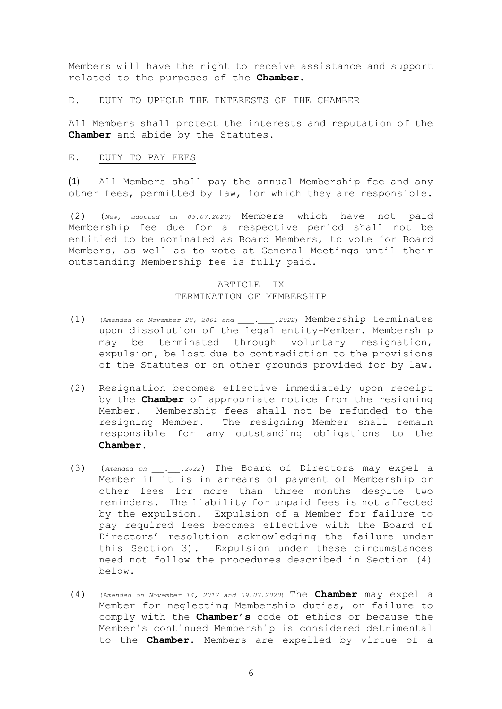Members will have the right to receive assistance and support related to the purposes of the **Chamber**.

#### D. DUTY TO UPHOLD THE INTERESTS OF THE CHAMBER

All Members shall protect the interests and reputation of the **Chamber** and abide by the Statutes.

#### E. DUTY TO PAY FEES

(1) All Members shall pay the annual Membership fee and any other fees, permitted by law, for which they are responsible.

(2) (*New, adopted on 09.07.2020)* Members which have not paid Membership fee due for a respective period shall not be entitled to be nominated as Board Members, to vote for Board Members, as well as to vote at General Meetings until their outstanding Membership fee is fully paid.

### ARTICLE IX TERMINATION OF MEMBERSHIP

- (1) (*Amended on November 28, 2001 and \_\_\_\_.\_\_\_\_.2022*) Membership terminates upon dissolution of the legal entity-Member. Membership may be terminated through voluntary resignation, expulsion, be lost due to contradiction to the provisions of the Statutes or on other grounds provided for by law.
- (2) Resignation becomes effective immediately upon receipt by the **Chamber** of appropriate notice from the resigning Member. Membership fees shall not be refunded to the resigning Member. The resigning Member shall remain responsible for any outstanding obligations to the **Chamber**.
- (3) (*Amended on \_\_\_.\_\_\_.2022*) The Board of Directors may expel a Member if it is in arrears of payment of Membership or other fees for more than three months despite two reminders. The liability for unpaid fees is not affected by the expulsion. Expulsion of a Member for failure to pay required fees becomes effective with the Board of Directors' resolution acknowledging the failure under this Section 3). Expulsion under these circumstances need not follow the procedures described in Section (4) below.
- (4) (*Amended on November 14, 2017 and 09.07.2020*) The **Chamber** may expel a Member for neglecting Membership duties, or failure to comply with the **Chamber's** code of ethics or because the Member's continued Membership is considered detrimental to the **Chamber**. Members are expelled by virtue of a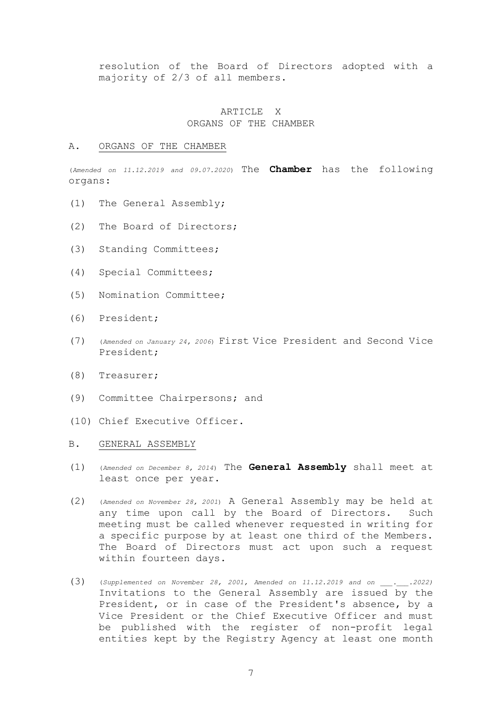resolution of the Board of Directors adopted with a majority of 2/3 of all members.

### ARTICLE X ORGANS OF THE CHAMBER

#### A. ORGANS OF THE CHAMBER

(*Amended on 11.12.2019 and 09.07.2020*) The **Chamber** has the following organs:

- (1) The General Assembly;
- (2) The Board of Directors;
- (3) Standing Committees;
- (4) Special Committees;
- (5) Nomination Committee;
- (6) President;
- (7) (*Amended on January 24, 2006*) First Vice President and Second Vice President;
- (8) Treasurer;
- (9) Committee Chairpersons; and
- (10) Chief Executive Officer.
- B. GENERAL ASSEMBLY
- (1) (*Amended on December 8, 2014*) The **General Assembly** shall meet at least once per year.
- (2) (*Amended on November 28, 2001*) A General Assembly may be held at any time upon call by the Board of Directors. Such meeting must be called whenever requested in writing for a specific purpose by at least one third of the Members. The Board of Directors must act upon such a request within fourteen days.
- (3) (*Supplemented on November 28, 2001, Amended on 11.12.2019 and on \_\_\_.\_\_\_.2022)* Invitations to the General Assembly are issued by the President, or in case of the President's absence, by a Vice President or the Chief Executive Officer and must be published with the register of non-profit legal entities kept by the Registry Agency at least one month

7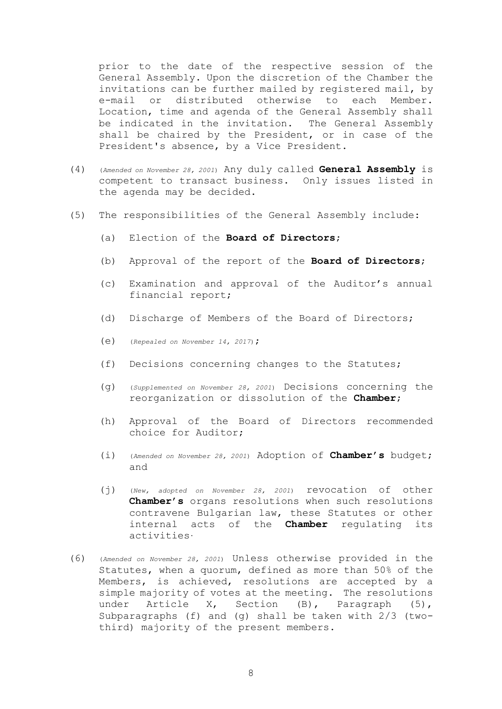prior to the date of the respective session of the General Assembly. Upon the discretion of the Chamber the invitations can be further mailed by registered mail, by e-mail or distributed otherwise to each Member. Location, time and agenda of the General Assembly shall be indicated in the invitation. The General Assembly shall be chaired by the President, or in case of the President's absence, by a Vice President.

- (4) (*Amended on November 28, 2001*) Any duly called **General Assembly** is competent to transact business. Only issues listed in the agenda may be decided.
- (5) The responsibilities of the General Assembly include:
	- (a) Election of the **Board of Directors**;
	- (b) Approval of the report of the **Board of Directors**;
	- (c) Examination and approval of the Auditor's annual financial report;
	- (d) Discharge of Members of the Board of Directors;
	- (e) (*Repealed on November 14, 2017*);
	- (f) Decisions concerning changes to the Statutes;
	- (g) (*Supplemented on November 28, 2001*) Decisions concerning the reorganization or dissolution of the **Chamber**;
	- (h) Approval of the Board of Directors recommended choice for Auditor;
	- (i) (*Amended on November 28, 2001*) Adoption of **Chamber's** budget; and
	- (j) (*New, adopted on November 28, 2001*) revocation of other **Chamber's** organs resolutions when such resolutions contravene Bulgarian law, these Statutes or other internal acts of the **Chamber** regulating its activities.
- (6) (*Amended on November 28, 2001*) Unless otherwise provided in the Statutes, when a quorum, defined as more than 50% of the Members, is achieved, resolutions are accepted by a simple majority of votes at the meeting. The resolutions under Article X, Section (B), Paragraph (5), Subparagraphs (f) and (g) shall be taken with 2/3 (twothird) majority of the present members.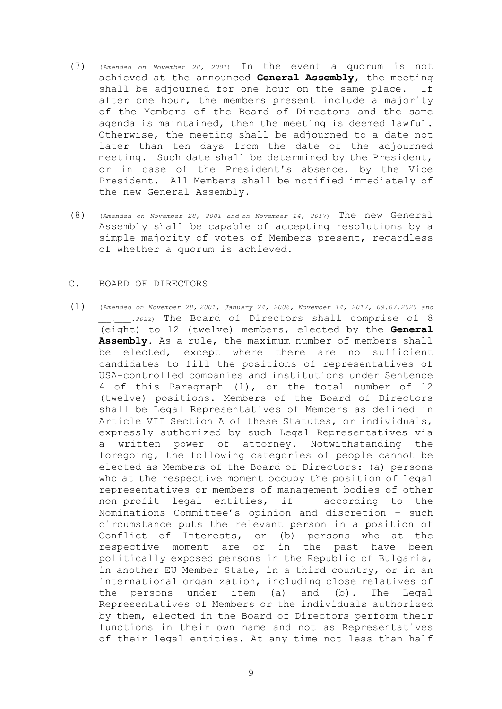- (7) (*Amended on November 28, 2001*) In the event a quorum is not achieved at the announced **General Assembly**, the meeting shall be adjourned for one hour on the same place. If after one hour, the members present include a majority of the Members of the Board of Directors and the same agenda is maintained, then the meeting is deemed lawful. Otherwise, the meeting shall be adjourned to a date not later than ten days from the date of the adjourned meeting. Such date shall be determined by the President, or in case of the President's absence, by the Vice President. All Members shall be notified immediately of the new General Assembly.
- (8) (*Amended on November 28, 2001 and on November 14, 2017*) The new General Assembly shall be capable of accepting resolutions by a simple majority of votes of Members present, regardless of whether a quorum is achieved.

### C. BOARD OF DIRECTORS

(1) (*Amended on November 28, 2001, January 24, 2006, November 14, 2017, 09.07.2020 and \_\_\_.\_\_\_\_.2022*) The Board of Directors shall comprise of 8 (eight) to 12 (twelve) members, elected by the **General Assembly**. As a rule, the maximum number of members shall be elected, except where there are no sufficient candidates to fill the positions of representatives of USA-controlled companies and institutions under Sentence 4 of this Paragraph (1), or the total number of 12 (twelve) positions. Members of the Board of Directors shall be Legal Representatives of Members as defined in Article VII Section A of these Statutes, or individuals, expressly authorized by such Legal Representatives via a written power of attorney. Notwithstanding the foregoing, the following categories of people cannot be elected as Members of the Board of Directors: (a) persons who at the respective moment occupy the position of legal representatives or members of management bodies of other non-profit legal entities, if – according to the Nominations Committee's opinion and discretion – such circumstance puts the relevant person in a position of Conflict of Interests, or (b) persons who at the respective moment are or in the past have been politically exposed persons in the Republic of Bulgaria, in another EU Member State, in a third country, or in an international organization, including close relatives of the persons under item (a) and (b). The Legal Representatives of Members or the individuals authorized by them, elected in the Board of Directors perform their functions in their own name and not as Representatives of their legal entities. At any time not less than half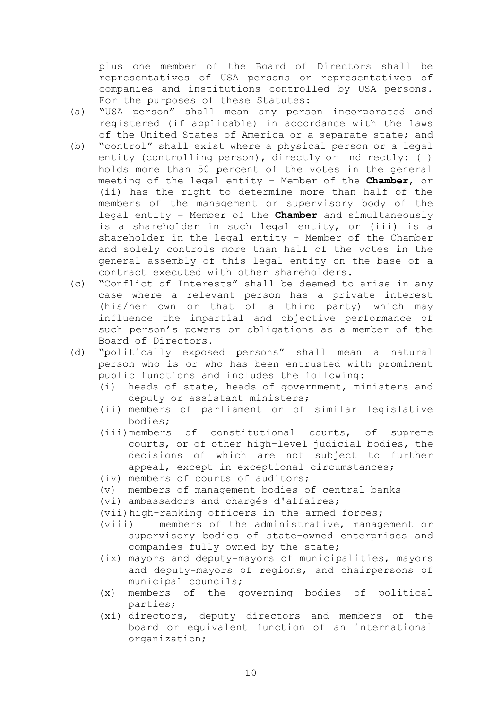plus one member of the Board of Directors shall be representatives of USA persons or representatives of companies and institutions controlled by USA persons. For the purposes of these Statutes:

- (а) "USA person" shall mean any person incorporated and registered (if applicable) in accordance with the laws of the United States of America or a separate state; and
- (b) "control" shall exist where a physical person or a legal entity (controlling person), directly or indirectly: (i) holds more than 50 percent of the votes in the general meeting of the legal entity – Member of the **Chamber**, or (ii) has the right to determine more than half of the members of the management or supervisory body of the legal entity – Member of the **Chamber** and simultaneously is a shareholder in such legal entity, or (iii) is a shareholder in the legal entity – Member of the Chamber and solely controls more than half of the votes in the general assembly of this legal entity on the base of a contract executed with other shareholders.
- (c) "Conflict of Interests" shall be deemed to arise in any case where a relevant person has a private interest (his/her own or that of a third party) which may influence the impartial and objective performance of such person's powers or obligations as a member of the Board of Directors.
- (d) "politically exposed persons" shall mean a natural person who is or who has been entrusted with prominent public functions and includes the following:
	- (i) heads of state, heads of government, ministers and deputy or assistant ministers;
	- (ii) members of parliament or of similar legislative bodies;
	- (iii)members of constitutional courts, of supreme courts, or of other high-level judicial bodies, the decisions of which are not subject to further appeal, except in exceptional circumstances;
	- (iv) members of courts of auditors;
	- (v) members of management bodies of central banks
	- (vi) ambassadors and chargés d'affaires;
	- (vii)high-ranking officers in the armed forces;
	- (viii) members of the administrative, management or supervisory bodies of state-owned enterprises and companies fully owned by the state;
	- (ix) mayors and deputy-mayors of municipalities, mayors and deputy-mayors of regions, and chairpersons of municipal councils;
	- (x) members of the governing bodies of political parties;
	- (xi) directors, deputy directors and members of the board or equivalent function of an international organization;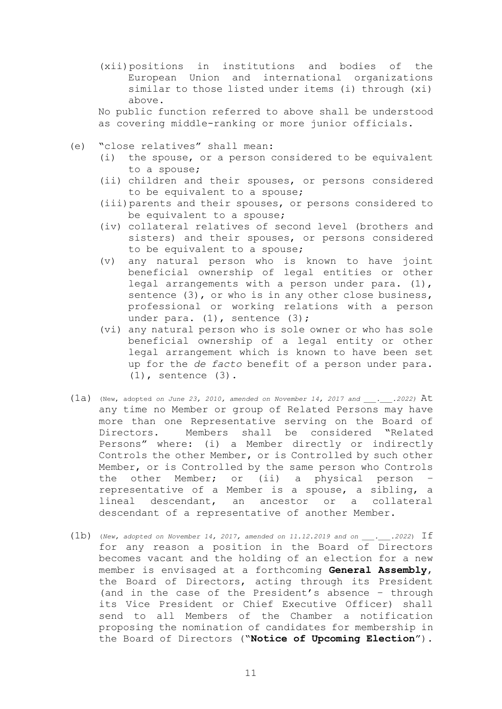(xii)positions in institutions and bodies of the European Union and international organizations similar to those listed under items (i) through (xi) above.

No public function referred to above shall be understood as covering middle-ranking or more junior officials.

- (e) "close relatives" shall mean:
	- (i) the spouse, or a person considered to be equivalent to a spouse;
	- (ii) children and their spouses, or persons considered to be equivalent to a spouse;
	- (iii)parents and their spouses, or persons considered to be equivalent to a spouse;
	- (iv) collateral relatives of second level (brothers and sisters) and their spouses, or persons considered to be equivalent to a spouse;
	- (v) any natural person who is known to have joint beneficial ownership of legal entities or other legal arrangements with a person under para.  $(1)$ , sentence (3), or who is in any other close business, professional or working relations with a person under para. (1), sentence (3);
	- (vi) any natural person who is sole owner or who has sole beneficial ownership of a legal entity or other legal arrangement which is known to have been set up for the *de facto* benefit of a person under para. (1), sentence (3).
- $(1a)$  (New, adopted *on June 23, 2010, amended on November 14, 2017 and ...2022)* At any time no Member or group of Related Persons may have more than one Representative serving on the Board of Directors. Members shall be considered "Related Persons" where: (i) a Member directly or indirectly Controls the other Member, or is Controlled by such other Member, or is Controlled by the same person who Controls the other Member; or (ii) a physical person – representative of a Member is a spouse, a sibling, a lineal descendant, an ancestor or a collateral descendant of a representative of another Member.
- $(1b)$  (*New, adopted on November 14, 2017, amended on 11.12.2019* and on  $\ldots$  .2022) If for any reason a position in the Board of Directors becomes vacant and the holding of an election for a new member is envisaged at a forthcoming **General Assembly**, the Board of Directors, acting through its President (and in the case of the President's absence – through its Vice President or Chief Executive Officer) shall send to all Members of the Chamber a notification proposing the nomination of candidates for membership in the Board of Directors ("**Notice of Upcoming Election**").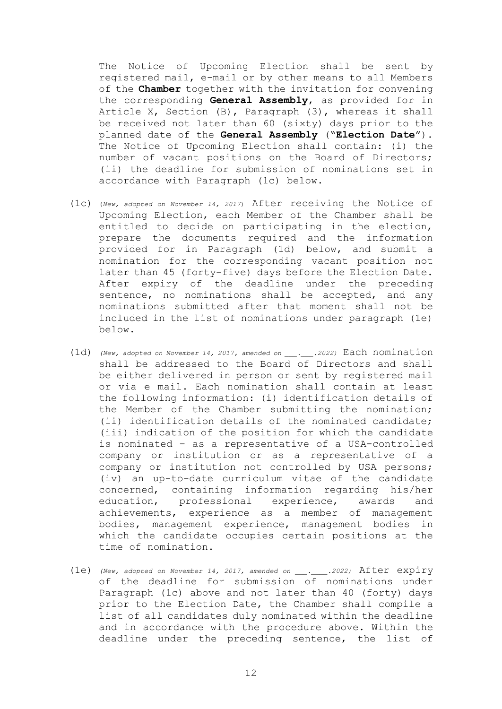The Notice of Upcoming Election shall be sent by registered mail, e-mail or by other means to all Members of the **Chamber** together with the invitation for convening the corresponding **General Assembly**, as provided for in Article X, Section (B), Paragraph (3), whereas it shall be received not later than 60 (sixty) days prior to the planned date of the **General Assembly** ("**Election Date**"). The Notice of Upcoming Election shall contain: (i) the number of vacant positions on the Board of Directors; (ii) the deadline for submission of nominations set in accordance with Paragraph (1c) below.

- (1c) (*New, adopted on November 14, 2017*) After receiving the Notice of Upcoming Election, each Member of the Chamber shall be entitled to decide on participating in the election, prepare the documents required and the information provided for in Paragraph (1d) below, and submit a nomination for the corresponding vacant position not later than 45 (forty-five) days before the Election Date. After expiry of the deadline under the preceding sentence, no nominations shall be accepted, and any nominations submitted after that moment shall not be included in the list of nominations under paragraph (1e) below.
- (1d) *(New, adopted on November 14, 2017, amended on \_\_\_.\_\_\_.2022)* Each nomination shall be addressed to the Board of Directors and shall be either delivered in person or sent by registered mail or via e mail. Each nomination shall contain at least the following information: (i) identification details of the Member of the Chamber submitting the nomination; (ii) identification details of the nominated candidate; (iii) indication of the position for which the candidate is nominated – as a representative of a USA-controlled company or institution or as a representative of a company or institution not controlled by USA persons; (iv) an up-to-date curriculum vitae of the candidate concerned, containing information regarding his/her education, professional experience, awards and achievements, experience as a member of management bodies, management experience, management bodies in which the candidate occupies certain positions at the time of nomination.
- (1e) *(New, adopted on November 14, 2017, amended on \_\_\_.\_\_\_\_.2022)* After expiry of the deadline for submission of nominations under Paragraph (1c) above and not later than 40 (forty) days prior to the Election Date, the Chamber shall compile a list of all candidates duly nominated within the deadline and in accordance with the procedure above. Within the deadline under the preceding sentence, the list of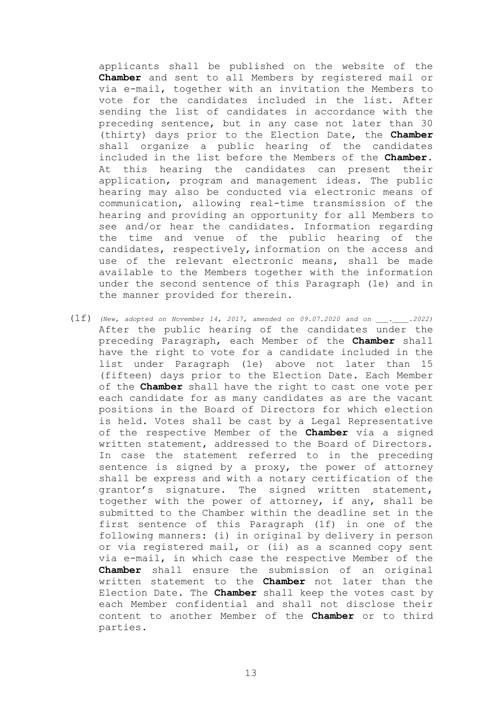applicants shall be published on the website of the **Chamber** and sent to all Members by registered mail or via e-mail, together with an invitation the Members to vote for the candidates included in the list. After sending the list of candidates in accordance with the preceding sentence, but in any case not later than 30 (thirty) days prior to the Election Date, the **Chamber** shall organize a public hearing of the candidates included in the list before the Members of the **Chamber**. At this hearing the candidates can present their application, program and management ideas. The public hearing may also be conducted via electronic means of communication, allowing real-time transmission of the hearing and providing an opportunity for all Members to see and/or hear the candidates. Information regarding the time and venue of the public hearing of the candidates, respectively, information on the access and use of the relevant electronic means, shall be made available to the Members together with the information under the second sentence of this Paragraph (1e) and in the manner provided for therein.

(1f) *(New, adopted on November 14, 2017, amended on 09.07.2020 and on \_\_\_.\_\_\_\_.2022)* After the public hearing of the candidates under the preceding Paragraph, each Member of the **Chamber** shall have the right to vote for a candidate included in the list under Paragraph (1e) above not later than 15 (fifteen) days prior to the Election Date. Each Member of the **Chamber** shall have the right to cast one vote per each candidate for as many candidates as are the vacant positions in the Board of Directors for which election is held. Votes shall be cast by a Legal Representative of the respective Member of the **Chamber** via a signed written statement, addressed to the Board of Directors. In case the statement referred to in the preceding sentence is signed by a proxy, the power of attorney shall be express and with a notary certification of the grantor's signature. The signed written statement, together with the power of attorney, if any, shall be submitted to the Chamber within the deadline set in the first sentence of this Paragraph (1f) in one of the following manners: (i) in original by delivery in person or via registered mail, or (ii) as a scanned copy sent via e-mail, in which case the respective Member of the **Chamber** shall ensure the submission of an original written statement to the **Chamber** not later than the Election Date. The **Chamber** shall keep the votes cast by each Member confidential and shall not disclose their content to another Member of the **Chamber** or to third parties.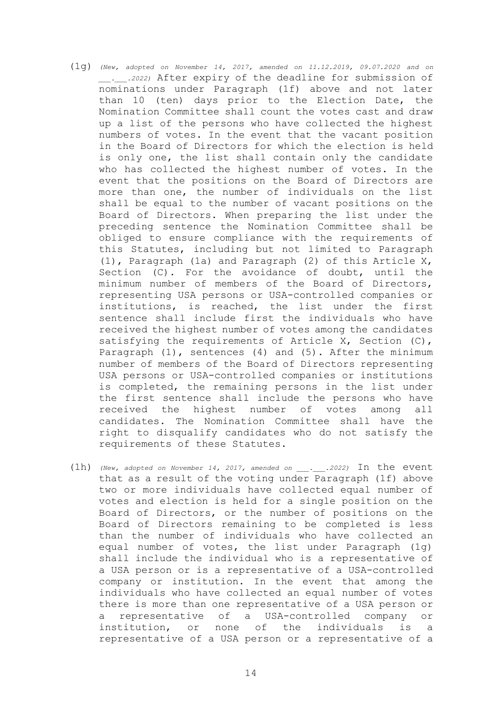- (1g) *(New, adopted on November 14, 2017, amended on 11.12.2019, 09.07.2020 and on \_\_\_.\_\_\_.2022)* After expiry of the deadline for submission of nominations under Paragraph (1f) above and not later than 10 (ten) days prior to the Election Date, the Nomination Committee shall count the votes cast and draw up a list of the persons who have collected the highest numbers of votes. In the event that the vacant position in the Board of Directors for which the election is held is only one, the list shall contain only the candidate who has collected the highest number of votes. In the event that the positions on the Board of Directors are more than one, the number of individuals on the list shall be equal to the number of vacant positions on the Board of Directors. When preparing the list under the preceding sentence the Nomination Committee shall be obliged to ensure compliance with the requirements of this Statutes, including but not limited to Paragraph (1), Paragraph (1a) and Paragraph (2) of this Article X, Section (C). For the avoidance of doubt, until the minimum number of members of the Board of Directors, representing USA persons or USA-controlled companies or institutions, is reached, the list under the first sentence shall include first the individuals who have received the highest number of votes among the candidates satisfying the requirements of Article X, Section (C), Paragraph  $(1)$ , sentences  $(4)$  and  $(5)$ . After the minimum number of members of the Board of Directors representing USA persons or USA-controlled companies or institutions is completed, the remaining persons in the list under the first sentence shall include the persons who have received the highest number of votes among all candidates. The Nomination Committee shall have the right to disqualify candidates who do not satisfy the requirements of these Statutes.
- (1h) *(New, adopted on November 14, 2017, amended on \_\_\_.\_\_\_.2022)* In the event that as a result of the voting under Paragraph (1f) above two or more individuals have collected equal number of votes and election is held for a single position on the Board of Directors, or the number of positions on the Board of Directors remaining to be completed is less than the number of individuals who have collected an equal number of votes, the list under Paragraph (1g) shall include the individual who is a representative of a USA person or is a representative of a USA-controlled company or institution. In the event that among the individuals who have collected an equal number of votes there is more than one representative of a USA person or a representative of a USA-controlled company or institution, or none of the individuals is a representative of a USA person or a representative of a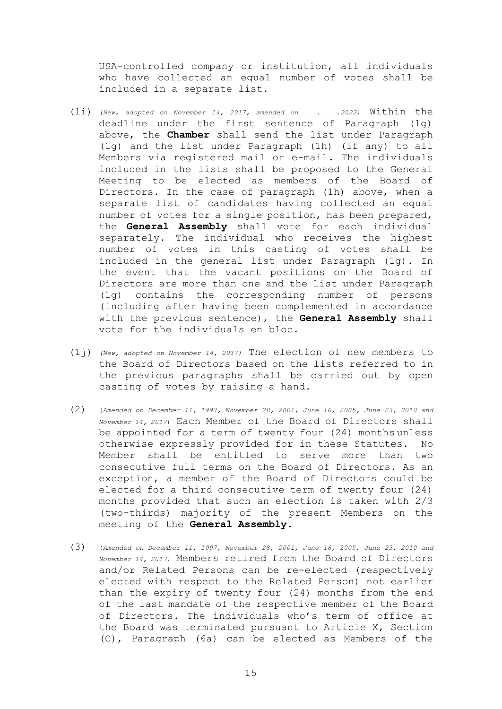USA-controlled company or institution, all individuals who have collected an equal number of votes shall be included in a separate list.

- (1i) *(New, adopted on November 14, 2017, amended on \_\_\_.\_\_\_\_.2022)* Within the deadline under the first sentence of Paragraph (1g) above, the **Chamber** shall send the list under Paragraph (1g) and the list under Paragraph (1h) (if any) to all Members via registered mail or e-mail. The individuals included in the lists shall be proposed to the General Meeting to be elected as members of the Board of Directors. In the case of paragraph (1h) above, when a separate list of candidates having collected an equal number of votes for a single position, has been prepared, the **General Assembly** shall vote for each individual separately. The individual who receives the highest number of votes in this casting of votes shall be included in the general list under Paragraph (1g). In the event that the vacant positions on the Board of Directors are more than one and the list under Paragraph (1g) contains the corresponding number of persons (including after having been complemented in accordance with the previous sentence), the **General Assembly** shall vote for the individuals en bloc.
- (1j) *(New, adopted on November 14, 2017)* The election of new members to the Board of Directors based on the lists referred to in the previous paragraphs shall be carried out by open casting of votes by raising a hand.
- (2) (*Amended on December 11, 1997, November 28, 2001, June 16, 2005, June 23, 2010 and November 14, 2017*) Each Member of the Board of Directors shall be appointed for a term of twenty four (24) months unless otherwise expressly provided for in these Statutes. No Member shall be entitled to serve more than two consecutive full terms on the Board of Directors. As an exception, a member of the Board of Directors could be elected for a third consecutive term of twenty four (24) months provided that such an election is taken with 2/3 (two-thirds) majority of the present Members on the meeting of the **General Assembly**.
- (3) (*Amended on December 11, 1997, November 28, 2001, June 16, 2005, June 23, 2010 and November 14, 2017)* Members retired from the Board of Directors and/or Related Persons can be re-elected (respectively elected with respect to the Related Person) not earlier than the expiry of twenty four (24) months from the end of the last mandate of the respective member of the Board of Directors. The individuals who's term of office at the Board was terminated pursuant to Article X, Section (C), Paragraph (6a) can be elected as Members of the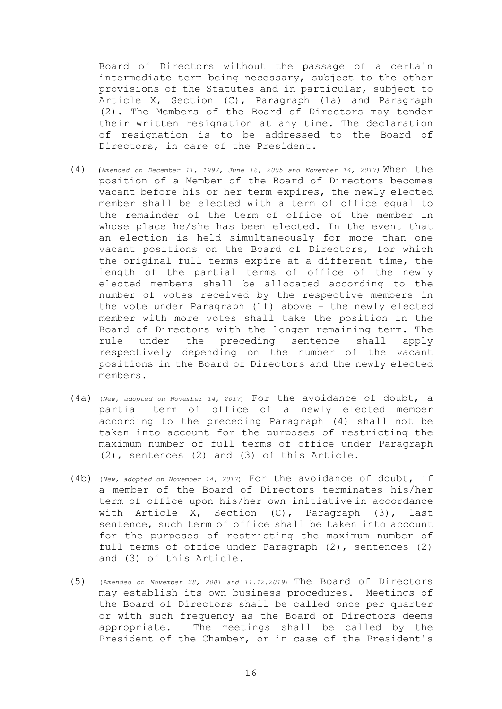Board of Directors without the passage of a certain intermediate term being necessary, subject to the other provisions of the Statutes and in particular, subject to Article X, Section (C), Paragraph (1a) and Paragraph (2). The Members of the Board of Directors may tender their written resignation at any time. The declaration of resignation is to be addressed to the Board of Directors, in care of the President.

- (4) (*Amended on December 11, 1997, June 16, 2005 and November 14, 2017)* When the position of a Member of the Board of Directors becomes vacant before his or her term expires, the newly elected member shall be elected with a term of office equal to the remainder of the term of office of the member in whose place he/she has been elected. In the event that an election is held simultaneously for more than one vacant positions on the Board of Directors, for which the original full terms expire at a different time, the length of the partial terms of office of the newly elected members shall be allocated according to the number of votes received by the respective members in the vote under Paragraph (1f) above – the newly elected member with more votes shall take the position in the Board of Directors with the longer remaining term. The rule under the preceding sentence shall apply respectively depending on the number of the vacant positions in the Board of Directors and the newly elected members.
- (4a) (*New, adopted on November 14, 2017*) For the avoidance of doubt, a partial term of office of a newly elected member according to the preceding Paragraph (4) shall not be taken into account for the purposes of restricting the maximum number of full terms of office under Paragraph (2), sentences (2) and (3) of this Article.
- (4b) (*New, adopted on November 14, 2017*) For the avoidance of doubt, if a member of the Board of Directors terminates his/her term of office upon his/her own initiative in accordance with Article X, Section (C), Paragraph (3), last sentence, such term of office shall be taken into account for the purposes of restricting the maximum number of full terms of office under Paragraph (2), sentences (2) and (3) of this Article.
- (5) (*Amended on November 28, 2001 and 11.12.2019*) The Board of Directors may establish its own business procedures. Meetings of the Board of Directors shall be called once per quarter or with such frequency as the Board of Directors deems appropriate. The meetings shall be called by the President of the Chamber, or in case of the President's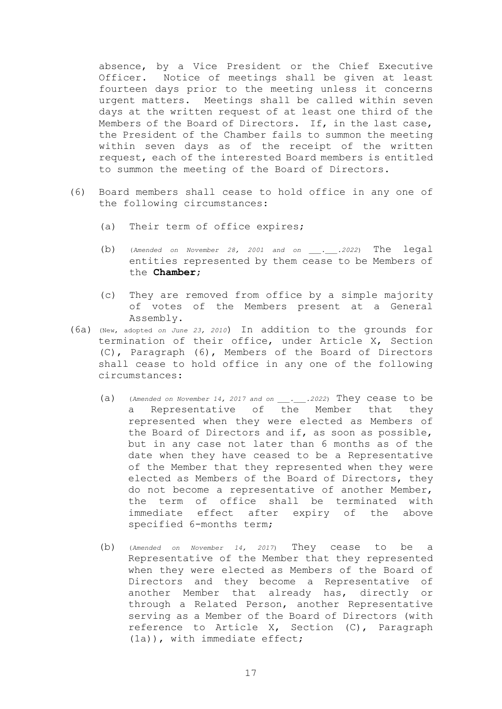absence, by a Vice President or the Chief Executive Officer. Notice of meetings shall be given at least fourteen days prior to the meeting unless it concerns urgent matters. Meetings shall be called within seven days at the written request of at least one third of the Members of the Board of Directors. If, in the last case, the President of the Chamber fails to summon the meeting within seven days as of the receipt of the written request, each of the interested Board members is entitled to summon the meeting of the Board of Directors.

- (6) Board members shall cease to hold office in any one of the following circumstances:
	- (a) Their term of office expires;
	- (b) (*Amended on November 28, 2001 and on \_\_\_.\_\_\_.2022*) The legal entities represented by them cease to be Members of the **Chamber**;
	- (c) They are removed from office by a simple majority of votes of the Members present at a General Assembly.
- (6a) (New, adopted *on June 23, 2010*) In addition to the grounds for termination of their office, under Article X, Section (C), Paragraph (6), Members of the Board of Directors shall cease to hold office in any one of the following circumstances:
	- (a) (*Amended on November 14, 2017 and on \_\_\_.\_\_\_.2022*) They cease to be a Representative of the Member that they represented when they were elected as Members of the Board of Directors and if, as soon as possible, but in any case not later than 6 months as of the date when they have ceased to be a Representative of the Member that they represented when they were elected as Members of the Board of Directors, they do not become a representative of another Member, the term of office shall be terminated with immediate effect after expiry of the above specified 6-months term;
	- (b) (*Amended on November 14, 2017*) They cease to be a Representative of the Member that they represented when they were elected as Members of the Board of Directors and they become a Representative of another Member that already has, directly or through a Related Person, another Representative serving as a Member of the Board of Directors (with reference to Article X, Section (C), Paragraph (1a)), with immediate effect;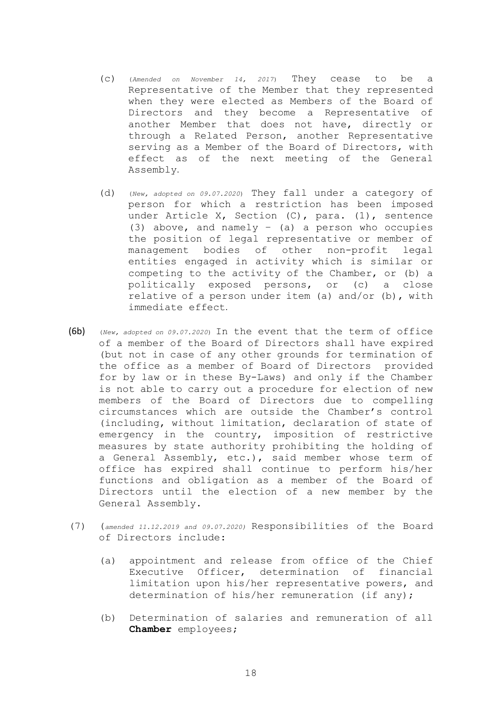- (c) (*Amended on November 14, 2017*) They cease to be a Representative of the Member that they represented when they were elected as Members of the Board of Directors and they become a Representative of another Member that does not have, directly or through a Related Person, another Representative serving as a Member of the Board of Directors, with effect as of the next meeting of the General Assembly.
- (d) (*New, adopted on 09.07.2020*) They fall under a category of person for which a restriction has been imposed under Article X, Section (C), para. (1), sentence (3) above, and namely  $-$  (a) a person who occupies the position of legal representative or member of management bodies of other non-profit legal entities engaged in activity which is similar or competing to the activity of the Chamber, or (b) a politically exposed persons, or (c) a close relative of a person under item (a) and/or (b), with immediate effect.
- (6b) (*New, adopted on 09.07.2020*) In the event that the term of office of a member of the Board of Directors shall have expired (but not in case of any other grounds for termination of the office as a member of Board of Directors provided for by law or in these By-Laws) and only if the Chamber is not able to carry out a procedure for election of new members of the Board of Directors due to compelling circumstances which are outside the Chamber's control (including, without limitation, declaration of state of emergency in the country, imposition of restrictive measures by state authority prohibiting the holding of a General Assembly, etc.), said member whose term of office has expired shall continue to perform his/her functions and obligation as a member of the Board of Directors until the election of a new member by the General Assembly.
- (7) (*amended 11.12.2019 and 09.07.2020)* Responsibilities of the Board of Directors include:
	- (a) appointment and release from office of the Chief Executive Officer, determination of financial limitation upon his/her representative powers, and determination of his/her remuneration (if any);
	- (b) Determination of salaries and remuneration of all **Chamber** employees;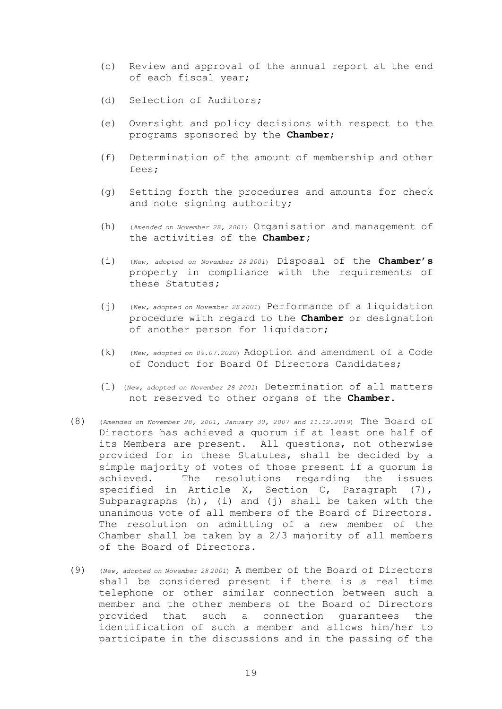- (c) Review and approval of the annual report at the end of each fiscal year;
- (d) Selection of Auditors;
- (e) Oversight and policy decisions with respect to the programs sponsored by the **Chamber**;
- (f) Determination of the amount of membership and other fees;
- (g) Setting forth the procedures and amounts for check and note signing authority;
- (h) (*Amended on November 28, 2001*) Organisation and management of the activities of the **Chamber;**
- (i) (*New, adopted on November 28 <sup>2001</sup>*) Disposal of the **Chamber's** property in compliance with the requirements of these Statutes**;**
- (j) (*New, adopted on November 28 <sup>2001</sup>*) Performance of a liquidation procedure with regard to the **Chamber** or designation of another person for liquidator;
- (k) (*New, adopted on 09.07.2020*) Adoption and amendment of a Code of Conduct for Board Of Directors Candidates;
- (l) (*New, adopted on November 28 <sup>2001</sup>*) Determination of all matters not reserved to other organs of the **Chamber**.
- (8) (*Amended on November 28, 2001, January 30, 2007 and 11.12.2019*) The Board of Directors has achieved a quorum if at least one half of its Members are present. All questions, not otherwise provided for in these Statutes, shall be decided by a simple majority of votes of those present if a quorum is achieved. The resolutions regarding the issues specified in Article X, Section C, Paragraph (7), Subparagraphs (h), (i) and (j) shall be taken with the unanimous vote of all members of the Board of Directors. The resolution on admitting of a new member of the Chamber shall be taken by a 2/3 majority of all members of the Board of Directors.
- (9) (*New, adopted on November 28 <sup>2001</sup>*) A member of the Board of Directors shall be considered present if there is a real time telephone or other similar connection between such a member and the other members of the Board of Directors provided that such a connection guarantees the identification of such a member and allows him/her to participate in the discussions and in the passing of the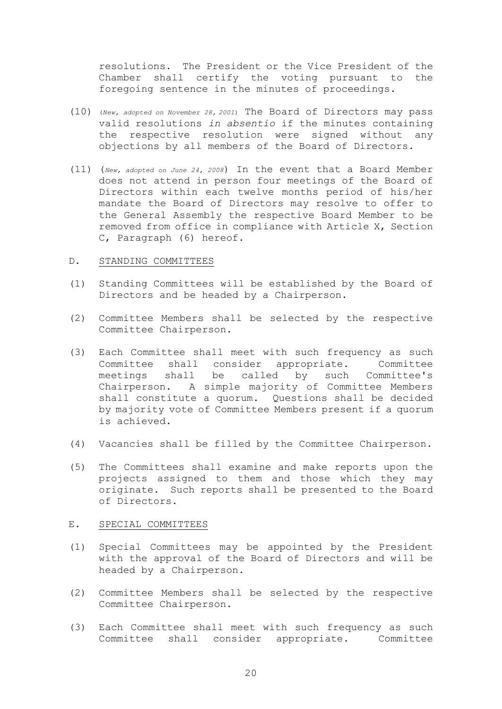resolutions. The President or the Vice President of the Chamber shall certify the voting pursuant to the foregoing sentence in the minutes of proceedings.

- (10) (*New, adopted on November 28, <sup>2001</sup>*) The Board of Directors may pass valid resolutions *in absentio* if the minutes containing the respective resolution were signed without any objections by all members of the Board of Directors.
- (11) (*New, adopted on June 24, 2008*) In the event that a Board Member does not attend in person four meetings of the Board of Directors within each twelve months period of his/her mandate the Board of Directors may resolve to offer to the General Assembly the respective Board Member to be removed from office in compliance with Article X, Section C, Paragraph (6) hereof.

### D. STANDING COMMITTEES

- (1) Standing Committees will be established by the Board of Directors and be headed by a Chairperson.
- (2) Committee Members shall be selected by the respective Committee Chairperson.
- (3) Each Committee shall meet with such frequency as such Committee shall consider appropriate. Committee meetings shall be called by such Committee's Chairperson. A simple majority of Committee Members shall constitute a quorum. Questions shall be decided by majority vote of Committee Members present if a quorum is achieved.
- (4) Vacancies shall be filled by the Committee Chairperson.
- (5) The Committees shall examine and make reports upon the projects assigned to them and those which they may originate. Such reports shall be presented to the Board of Directors.

#### E. SPECIAL COMMITTEES

- (1) Special Committees may be appointed by the President with the approval of the Board of Directors and will be headed by a Chairperson.
- (2) Committee Members shall be selected by the respective Committee Chairperson.
- (3) Each Committee shall meet with such frequency as such Committee shall consider appropriate. Committee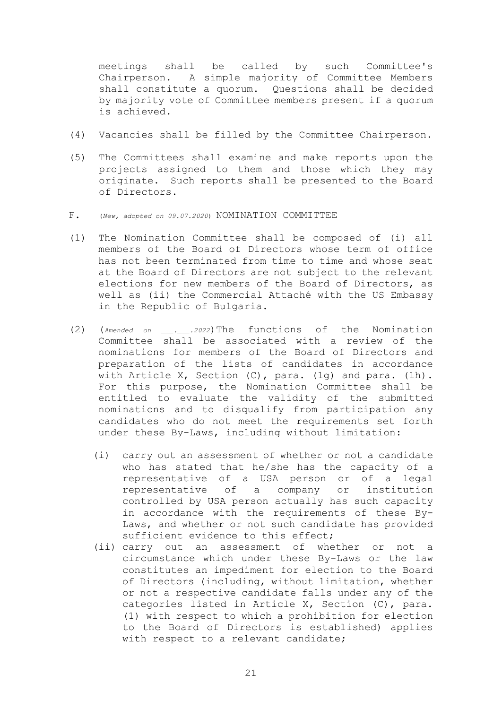meetings shall be called by such Committee's Chairperson. A simple majority of Committee Members shall constitute a quorum. Questions shall be decided by majority vote of Committee members present if a quorum is achieved.

- (4) Vacancies shall be filled by the Committee Chairperson.
- (5) The Committees shall examine and make reports upon the projects assigned to them and those which they may originate. Such reports shall be presented to the Board of Directors.

### F. (*New, adopted on 09.07.2020*) NOMINATION COMMITTEE

- (1) The Nomination Committee shall be composed of (i) all members of the Board of Directors whose term of office has not been terminated from time to time and whose seat at the Board of Directors are not subject to the relevant elections for new members of the Board of Directors, as well as (ii) the Commercial Attaché with the US Embassy in the Republic of Bulgaria.
- (2) (*Amended on \_\_\_.\_\_\_.2022*)The functions of the Nomination Committee shall be associated with a review of the nominations for members of the Board of Directors and preparation of the lists of candidates in accordance with Article X, Section  $(C)$ , para.  $(1q)$  and para.  $(1h)$ . For this purpose, the Nomination Committee shall be entitled to evaluate the validity of the submitted nominations and to disqualify from participation any candidates who do not meet the requirements set forth under these By-Laws, including without limitation:
	- (i) carry out an assessment of whether or not a candidate who has stated that he/she has the capacity of a representative of a USA person or of a legal representative of a company or institution controlled by USA person actually has such capacity in accordance with the requirements of these By-Laws, and whether or not such candidate has provided sufficient evidence to this effect;
	- (ii) carry out an assessment of whether or not a circumstance which under these By-Laws or the law constitutes an impediment for election to the Board of Directors (including, without limitation, whether or not a respective candidate falls under any of the categories listed in Article X, Section (C), para. (1) with respect to which a prohibition for election to the Board of Directors is established) applies with respect to a relevant candidate;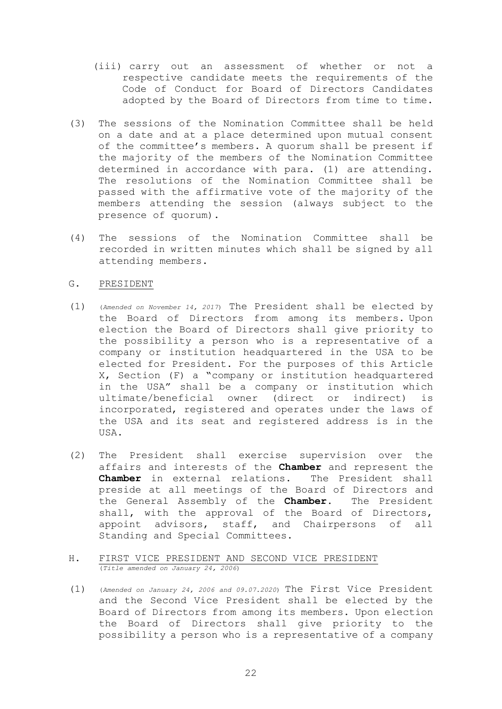- (iii) carry out an assessment of whether or not a respective candidate meets the requirements of the Code of Conduct for Board of Directors Candidates adopted by the Board of Directors from time to time.
- (3) The sessions of the Nomination Committee shall be held on a date and at a place determined upon mutual consent of the committee's members. A quorum shall be present if the majority of the members of the Nomination Committee determined in accordance with para. (1) are attending. The resolutions of the Nomination Committee shall be passed with the affirmative vote of the majority of the members attending the session (always subject to the presence of quorum).
- (4) The sessions of the Nomination Committee shall be recorded in written minutes which shall be signed by all attending members.

#### G. PRESIDENT

- (1) (*Amended on November 14, 2017*) The President shall be elected by the Board of Directors from among its members. Upon election the Board of Directors shall give priority to the possibility a person who is a representative of a company or institution headquartered in the USA to be elected for President. For the purposes of this Article X, Section (F) a "company or institution headquartered in the USA" shall be a company or institution which ultimate/beneficial owner (direct or indirect) is incorporated, registered and operates under the laws of the USA and its seat and registered address is in the USA.
- (2) The President shall exercise supervision over the affairs and interests of the **Chamber** and represent the **Chamber** in external relations. The President shall preside at all meetings of the Board of Directors and the General Assembly of the **Chamber**. The President shall, with the approval of the Board of Directors, appoint advisors, staff, and Chairpersons of all Standing and Special Committees.
- H. FIRST VICE PRESIDENT AND SECOND VICE PRESIDENT (*Title amended on January 24, 2006*)
- (1) (*Amended on January 24, 2006 and 09.07.2020*) The First Vice President and the Second Vice President shall be elected by the Board of Directors from among its members. Upon election the Board of Directors shall give priority to the possibility a person who is a representative of a company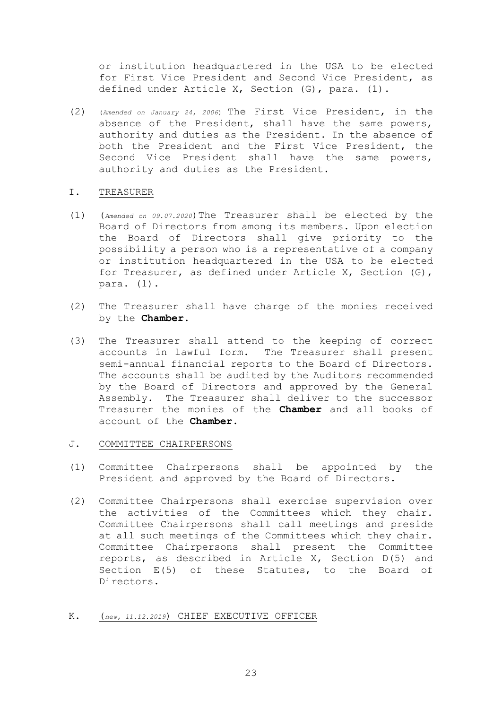or institution headquartered in the USA to be elected for First Vice President and Second Vice President, as defined under Article X, Section (G), para. (1).

(2) (*Amended on January 24, 2006*) The First Vice President, in the absence of the President, shall have the same powers, authority and duties as the President. In the absence of both the President and the First Vice President, the Second Vice President shall have the same powers, authority and duties as the President.

### I. TREASURER

- (1) (*Amended on 09.07.2020*)The Treasurer shall be elected by the Board of Directors from among its members. Upon election the Board of Directors shall give priority to the possibility a person who is a representative of a company or institution headquartered in the USA to be elected for Treasurer, as defined under Article X, Section (G), para. (1).
- (2) The Treasurer shall have charge of the monies received by the **Chamber**.
- (3) The Treasurer shall attend to the keeping of correct accounts in lawful form. The Treasurer shall present semi-annual financial reports to the Board of Directors. The accounts shall be audited by the Auditors recommended by the Board of Directors and approved by the General Assembly. The Treasurer shall deliver to the successor Treasurer the monies of the **Chamber** and all books of account of the **Chamber**.

### J. COMMITTEE CHAIRPERSONS

- (1) Committee Chairpersons shall be appointed by the President and approved by the Board of Directors.
- (2) Committee Chairpersons shall exercise supervision over the activities of the Committees which they chair. Committee Chairpersons shall call meetings and preside at all such meetings of the Committees which they chair. Committee Chairpersons shall present the Committee reports, as described in Article X, Section D(5) and Section E(5) of these Statutes, to the Board of Directors.

### K. (*new, 11.12.2019*) CHIEF EXECUTIVE OFFICER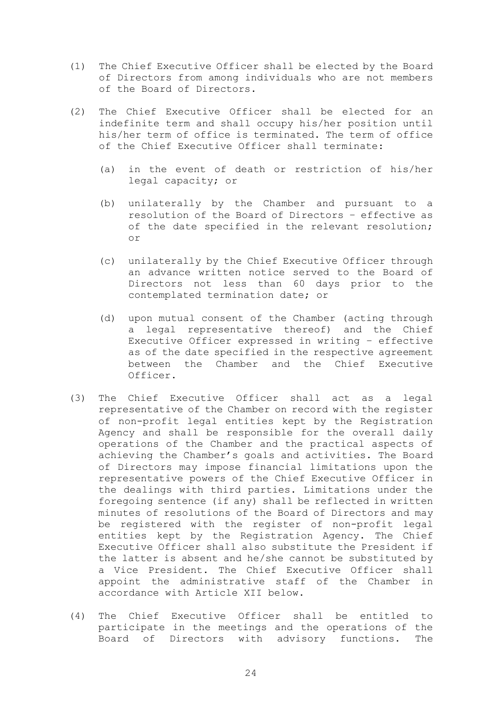- (1) The Chief Executive Officer shall be elected by the Board of Directors from among individuals who are not members of the Board of Directors.
- (2) The Chief Executive Officer shall be elected for an indefinite term and shall occupy his/her position until his/her term of office is terminated. The term of office of the Chief Executive Officer shall terminate:
	- (a) in the event of death or restriction of his/her legal capacity; or
	- (b) unilaterally by the Chamber and pursuant to a resolution of the Board of Directors – effective as of the date specified in the relevant resolution; or
	- (c) unilaterally by the Chief Executive Officer through an advance written notice served to the Board of Directors not less than 60 days prior to the contemplated termination date; or
	- (d) upon mutual consent of the Chamber (acting through a legal representative thereof) and the Chief Executive Officer expressed in writing – effective as of the date specified in the respective agreement between the Chamber and the Chief Executive Officer.
- (3) The Chief Executive Officer shall act as a legal representative of the Chamber on record with the register of non-profit legal entities kept by the Registration Agency and shall be responsible for the overall daily operations of the Chamber and the practical aspects of achieving the Chamber's goals and activities. The Board of Directors may impose financial limitations upon the representative powers of the Chief Executive Officer in the dealings with third parties. Limitations under the foregoing sentence (if any) shall be reflected in written minutes of resolutions of the Board of Directors and may be registered with the register of non-profit legal entities kept by the Registration Agency. The Chief Executive Officer shall also substitute the President if the latter is absent and he/she cannot be substituted by a Vice President. The Chief Executive Officer shall appoint the administrative staff of the Chamber in accordance with Article XII below.
- (4) The Chief Executive Officer shall be entitled to participate in the meetings and the operations of the Board of Directors with advisory functions. The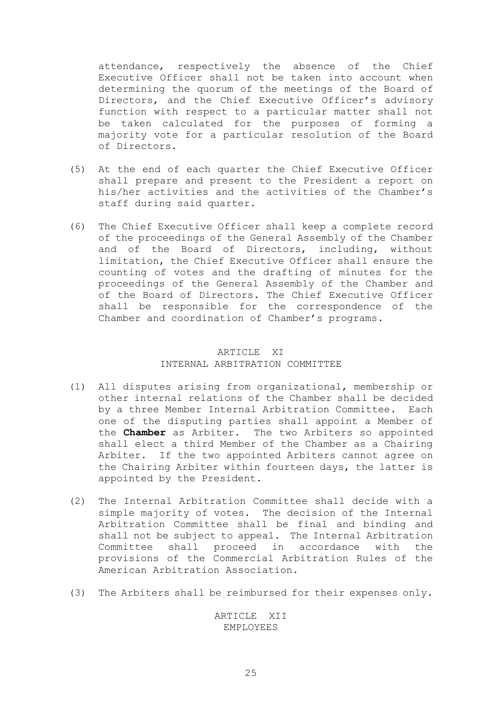attendance, respectively the absence of the Chief Executive Officer shall not be taken into account when determining the quorum of the meetings of the Board of Directors, and the Chief Executive Officer's advisory function with respect to a particular matter shall not be taken calculated for the purposes of forming a majority vote for a particular resolution of the Board of Directors.

- (5) At the end of each quarter the Chief Executive Officer shall prepare and present to the President a report on his/her activities and the activities of the Chamber's staff during said quarter.
- (6) The Chief Executive Officer shall keep a complete record of the proceedings of the General Assembly of the Chamber and of the Board of Directors, including, without limitation, the Chief Executive Officer shall ensure the counting of votes and the drafting of minutes for the proceedings of the General Assembly of the Chamber and of the Board of Directors. The Chief Executive Officer shall be responsible for the correspondence of the Chamber and coordination of Chamber's programs.

# ARTICLE XI INTERNAL ARBITRATION COMMITTEE

- (1) All disputes arising from organizational, membership or other internal relations of the Chamber shall be decided by a three Member Internal Arbitration Committee. Each one of the disputing parties shall appoint a Member of the **Chamber** as Arbiter. The two Arbiters so appointed shall elect a third Member of the Chamber as a Chairing Arbiter. If the two appointed Arbiters cannot agree on the Chairing Arbiter within fourteen days, the latter is appointed by the President.
- (2) The Internal Arbitration Committee shall decide with a simple majority of votes. The decision of the Internal Arbitration Committee shall be final and binding and shall not be subject to appeal. The Internal Arbitration Committee shall proceed in accordance with the provisions of the Commercial Arbitration Rules of the American Arbitration Association.
- (3) The Arbiters shall be reimbursed for their expenses only.

ARTICLE XII EMPLOYEES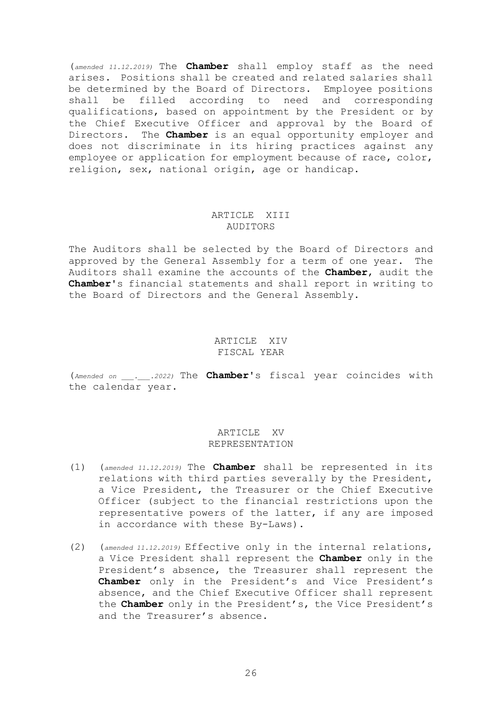(*amended 11.12.2019)* The **Chamber** shall employ staff as the need arises. Positions shall be created and related salaries shall be determined by the Board of Directors. Employee positions shall be filled according to need and corresponding qualifications, based on appointment by the President or by the Chief Executive Officer and approval by the Board of Directors. The **Chamber** is an equal opportunity employer and does not discriminate in its hiring practices against any employee or application for employment because of race, color, religion, sex, national origin, age or handicap.

### ARTICLE XIII AUDITORS

The Auditors shall be selected by the Board of Directors and approved by the General Assembly for a term of one year. The Auditors shall examine the accounts of the **Chamber**, audit the **Chamber**'s financial statements and shall report in writing to the Board of Directors and the General Assembly.

### ARTICLE XIV FISCAL YEAR

(*Amended on \_\_\_.\_\_\_.2022)* The **Chamber**'s fiscal year coincides with the calendar year.

# ARTICLE XV REPRESENTATION

- (1) (*amended 11.12.2019)* The **Chamber** shall be represented in its relations with third parties severally by the President, a Vice President, the Treasurer or the Chief Executive Officer (subject to the financial restrictions upon the representative powers of the latter, if any are imposed in accordance with these By-Laws).
- (2) (*amended 11.12.2019)* Effective only in the internal relations, a Vice President shall represent the **Chamber** only in the President's absence, the Treasurer shall represent the **Chamber** only in the President's and Vice President's absence, and the Chief Executive Officer shall represent the **Chamber** only in the President's, the Vice President's and the Treasurer's absence.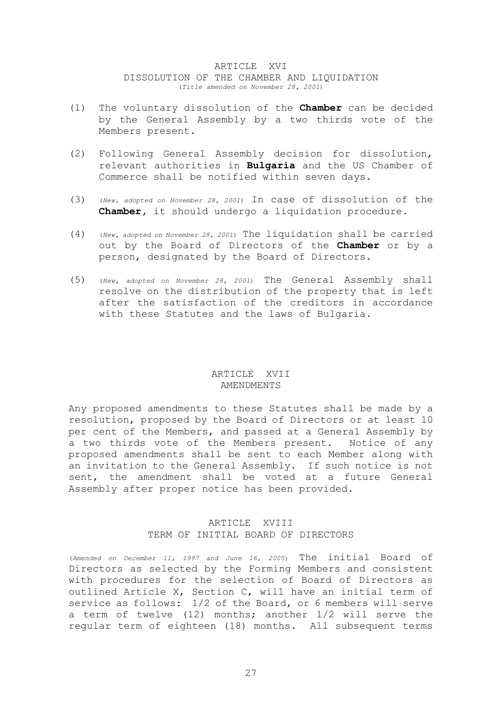### ARTICLE XVI DISSOLUTION OF THE CHAMBER AND LIQUIDATION (*Title amended on November 28, 2001*)

- (1) The voluntary dissolution of the **Chamber** can be decided by the General Assembly by a two thirds vote of the Members present.
- (2) Following General Assembly decision for dissolution, relevant authorities in **Bulgaria** and the US Chamber of Commerce shall be notified within seven days.
- (3) (*New, adopted on November 28, 2001*) In case of dissolution of the **Chamber,** it should undergo a liquidation procedure.
- (4) (*New, adopted on November 28, 2001*) The liquidation shall be carried out by the Board of Directors of the **Chamber** or by a person, designated by the Board of Directors.
- (5) (*New, adopted on November 28, 2001*) The General Assembly shall resolve on the distribution of the property that is left after the satisfaction of the creditors in accordance with these Statutes and the laws of Bulgaria.

# ARTICLE XVII AMENDMENTS

Any proposed amendments to these Statutes shall be made by a resolution, proposed by the Board of Directors or at least 10 per cent of the Members, and passed at a General Assembly by a two thirds vote of the Members present. Notice of any proposed amendments shall be sent to each Member along with an invitation to the General Assembly. If such notice is not sent, the amendment shall be voted at a future General Assembly after proper notice has been provided.

# ARTICLE XVIII TERM OF INITIAL BOARD OF DIRECTORS

(*Amended on December 11, 1997 and June 16, 2005*) The initial Board of Directors as selected by the Forming Members and consistent with procedures for the selection of Board of Directors as outlined Article X, Section C, will have an initial term of service as follows: 1/2 of the Board, or 6 members will serve a term of twelve (12) months; another 1/2 will serve the regular term of eighteen (18) months. All subsequent terms